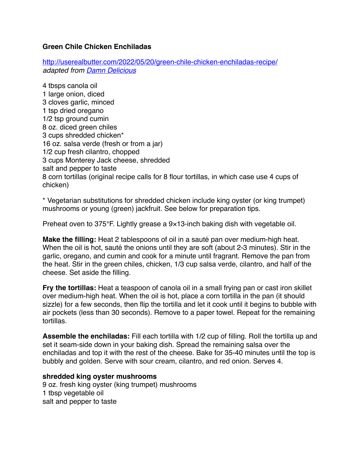## **Green Chile Chicken Enchiladas**

<http://userealbutter.com/2022/05/20/green-chile-chicken-enchiladas-recipe/> *adapted from [Damn Delicious](https://damndelicious.net/2019/03/01/green-chicken-enchiladas/)*

4 tbsps canola oil 1 large onion, diced 3 cloves garlic, minced 1 tsp dried oregano 1/2 tsp ground cumin 8 oz. diced green chiles 3 cups shredded chicken\* 16 oz. salsa verde (fresh or from a jar) 1/2 cup fresh cilantro, chopped 3 cups Monterey Jack cheese, shredded salt and pepper to taste 8 corn tortillas (original recipe calls for 8 flour tortillas, in which case use 4 cups of chicken)

\* Vegetarian substitutions for shredded chicken include king oyster (or king trumpet) mushrooms or young (green) jackfruit. See below for preparation tips.

Preheat oven to 375°F. Lightly grease a 9×13-inch baking dish with vegetable oil.

**Make the filling:** Heat 2 tablespoons of oil in a sauté pan over medium-high heat. When the oil is hot, sauté the onions until they are soft (about 2-3 minutes). Stir in the garlic, oregano, and cumin and cook for a minute until fragrant. Remove the pan from the heat. Stir in the green chiles, chicken, 1/3 cup salsa verde, cilantro, and half of the cheese. Set aside the filling.

**Fry the tortillas:** Heat a teaspoon of canola oil in a small frying pan or cast iron skillet over medium-high heat. When the oil is hot, place a corn tortilla in the pan (it should sizzle) for a few seconds, then flip the tortilla and let it cook until it begins to bubble with air pockets (less than 30 seconds). Remove to a paper towel. Repeat for the remaining tortillas.

**Assemble the enchiladas:** Fill each tortilla with 1/2 cup of filling. Roll the tortilla up and set it seam-side down in your baking dish. Spread the remaining salsa over the enchiladas and top it with the rest of the cheese. Bake for 35-40 minutes until the top is bubbly and golden. Serve with sour cream, cilantro, and red onion. Serves 4.

## **shredded king oyster mushrooms**

9 oz. fresh king oyster (king trumpet) mushrooms 1 tbsp vegetable oil salt and pepper to taste